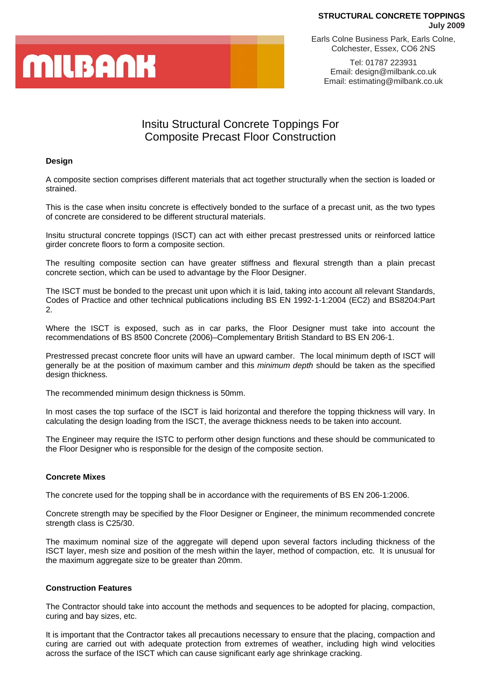# **MILBANK**

Earls Colne Business Park, Earls Colne, Colchester, Essex, CO6 2NS

Tel: 01787 223931 Email: design@milbank.co.uk Email: estimating@milbank.co.uk

### Insitu Structural Concrete Toppings For Composite Precast Floor Construction

### **Design**

A composite section comprises different materials that act together structurally when the section is loaded or strained.

This is the case when insitu concrete is effectively bonded to the surface of a precast unit, as the two types of concrete are considered to be different structural materials.

Insitu structural concrete toppings (ISCT) can act with either precast prestressed units or reinforced lattice girder concrete floors to form a composite section.

The resulting composite section can have greater stiffness and flexural strength than a plain precast concrete section, which can be used to advantage by the Floor Designer.

The ISCT must be bonded to the precast unit upon which it is laid, taking into account all relevant Standards, Codes of Practice and other technical publications including BS EN 1992-1-1:2004 (EC2) and BS8204:Part 2.

Where the ISCT is exposed, such as in car parks, the Floor Designer must take into account the recommendations of BS 8500 Concrete (2006)–Complementary British Standard to BS EN 206-1.

Prestressed precast concrete floor units will have an upward camber. The local minimum depth of ISCT will generally be at the position of maximum camber and this *minimum depth* should be taken as the specified design thickness.

The recommended minimum design thickness is 50mm.

In most cases the top surface of the ISCT is laid horizontal and therefore the topping thickness will vary. In calculating the design loading from the ISCT, the average thickness needs to be taken into account.

The Engineer may require the ISTC to perform other design functions and these should be communicated to the Floor Designer who is responsible for the design of the composite section.

### **Concrete Mixes**

The concrete used for the topping shall be in accordance with the requirements of BS EN 206-1:2006.

Concrete strength may be specified by the Floor Designer or Engineer, the minimum recommended concrete strength class is C25/30.

The maximum nominal size of the aggregate will depend upon several factors including thickness of the ISCT layer, mesh size and position of the mesh within the layer, method of compaction, etc. It is unusual for the maximum aggregate size to be greater than 20mm.

#### **Construction Features**

The Contractor should take into account the methods and sequences to be adopted for placing, compaction, curing and bay sizes, etc.

It is important that the Contractor takes all precautions necessary to ensure that the placing, compaction and curing are carried out with adequate protection from extremes of weather, including high wind velocities across the surface of the ISCT which can cause significant early age shrinkage cracking.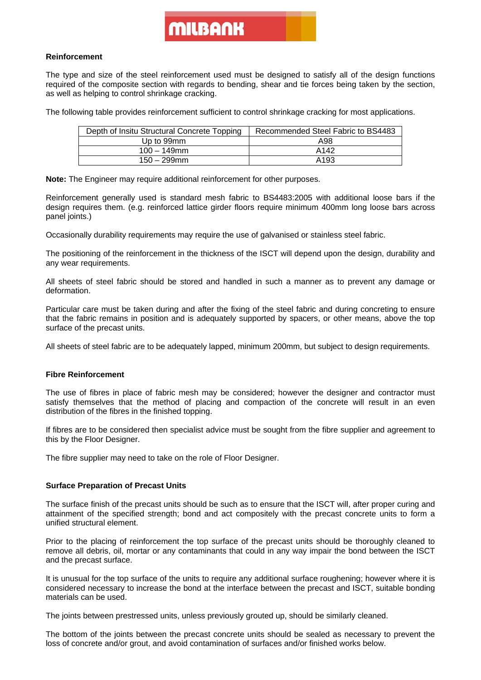### MILBANK

#### **Reinforcement**

The type and size of the steel reinforcement used must be designed to satisfy all of the design functions required of the composite section with regards to bending, shear and tie forces being taken by the section, as well as helping to control shrinkage cracking.

The following table provides reinforcement sufficient to control shrinkage cracking for most applications.

| Depth of Insitu Structural Concrete Topping | Recommended Steel Fabric to BS4483 |
|---------------------------------------------|------------------------------------|
| Up to 99mm                                  | A98                                |
| $100 - 149$ mm                              | A142                               |
| $150 - 299$ mm                              | A <sub>193</sub>                   |

**Note:** The Engineer may require additional reinforcement for other purposes.

Reinforcement generally used is standard mesh fabric to BS4483:2005 with additional loose bars if the design requires them. (e.g. reinforced lattice girder floors require minimum 400mm long loose bars across panel joints.)

Occasionally durability requirements may require the use of galvanised or stainless steel fabric.

The positioning of the reinforcement in the thickness of the ISCT will depend upon the design, durability and any wear requirements.

All sheets of steel fabric should be stored and handled in such a manner as to prevent any damage or deformation.

Particular care must be taken during and after the fixing of the steel fabric and during concreting to ensure that the fabric remains in position and is adequately supported by spacers, or other means, above the top surface of the precast units.

All sheets of steel fabric are to be adequately lapped, minimum 200mm, but subject to design requirements.

### **Fibre Reinforcement**

The use of fibres in place of fabric mesh may be considered; however the designer and contractor must satisfy themselves that the method of placing and compaction of the concrete will result in an even distribution of the fibres in the finished topping.

If fibres are to be considered then specialist advice must be sought from the fibre supplier and agreement to this by the Floor Designer.

The fibre supplier may need to take on the role of Floor Designer.

### **Surface Preparation of Precast Units**

The surface finish of the precast units should be such as to ensure that the ISCT will, after proper curing and attainment of the specified strength; bond and act compositely with the precast concrete units to form a unified structural element.

Prior to the placing of reinforcement the top surface of the precast units should be thoroughly cleaned to remove all debris, oil, mortar or any contaminants that could in any way impair the bond between the ISCT and the precast surface.

It is unusual for the top surface of the units to require any additional surface roughening; however where it is considered necessary to increase the bond at the interface between the precast and ISCT, suitable bonding materials can be used.

The joints between prestressed units, unless previously grouted up, should be similarly cleaned.

The bottom of the joints between the precast concrete units should be sealed as necessary to prevent the loss of concrete and/or grout, and avoid contamination of surfaces and/or finished works below.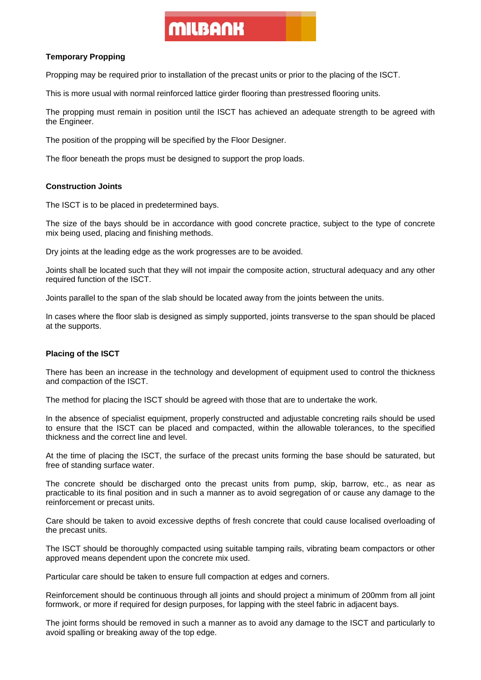## MILBANK

### **Temporary Propping**

Propping may be required prior to installation of the precast units or prior to the placing of the ISCT.

This is more usual with normal reinforced lattice girder flooring than prestressed flooring units.

The propping must remain in position until the ISCT has achieved an adequate strength to be agreed with the Engineer.

The position of the propping will be specified by the Floor Designer.

The floor beneath the props must be designed to support the prop loads.

### **Construction Joints**

The ISCT is to be placed in predetermined bays.

The size of the bays should be in accordance with good concrete practice, subject to the type of concrete mix being used, placing and finishing methods.

Dry joints at the leading edge as the work progresses are to be avoided.

Joints shall be located such that they will not impair the composite action, structural adequacy and any other required function of the ISCT.

Joints parallel to the span of the slab should be located away from the joints between the units.

In cases where the floor slab is designed as simply supported, joints transverse to the span should be placed at the supports.

### **Placing of the ISCT**

There has been an increase in the technology and development of equipment used to control the thickness and compaction of the ISCT.

The method for placing the ISCT should be agreed with those that are to undertake the work.

In the absence of specialist equipment, properly constructed and adjustable concreting rails should be used to ensure that the ISCT can be placed and compacted, within the allowable tolerances, to the specified thickness and the correct line and level.

At the time of placing the ISCT, the surface of the precast units forming the base should be saturated, but free of standing surface water.

The concrete should be discharged onto the precast units from pump, skip, barrow, etc., as near as practicable to its final position and in such a manner as to avoid segregation of or cause any damage to the reinforcement or precast units.

Care should be taken to avoid excessive depths of fresh concrete that could cause localised overloading of the precast units.

The ISCT should be thoroughly compacted using suitable tamping rails, vibrating beam compactors or other approved means dependent upon the concrete mix used.

Particular care should be taken to ensure full compaction at edges and corners.

Reinforcement should be continuous through all joints and should project a minimum of 200mm from all joint formwork, or more if required for design purposes, for lapping with the steel fabric in adjacent bays.

The joint forms should be removed in such a manner as to avoid any damage to the ISCT and particularly to avoid spalling or breaking away of the top edge.